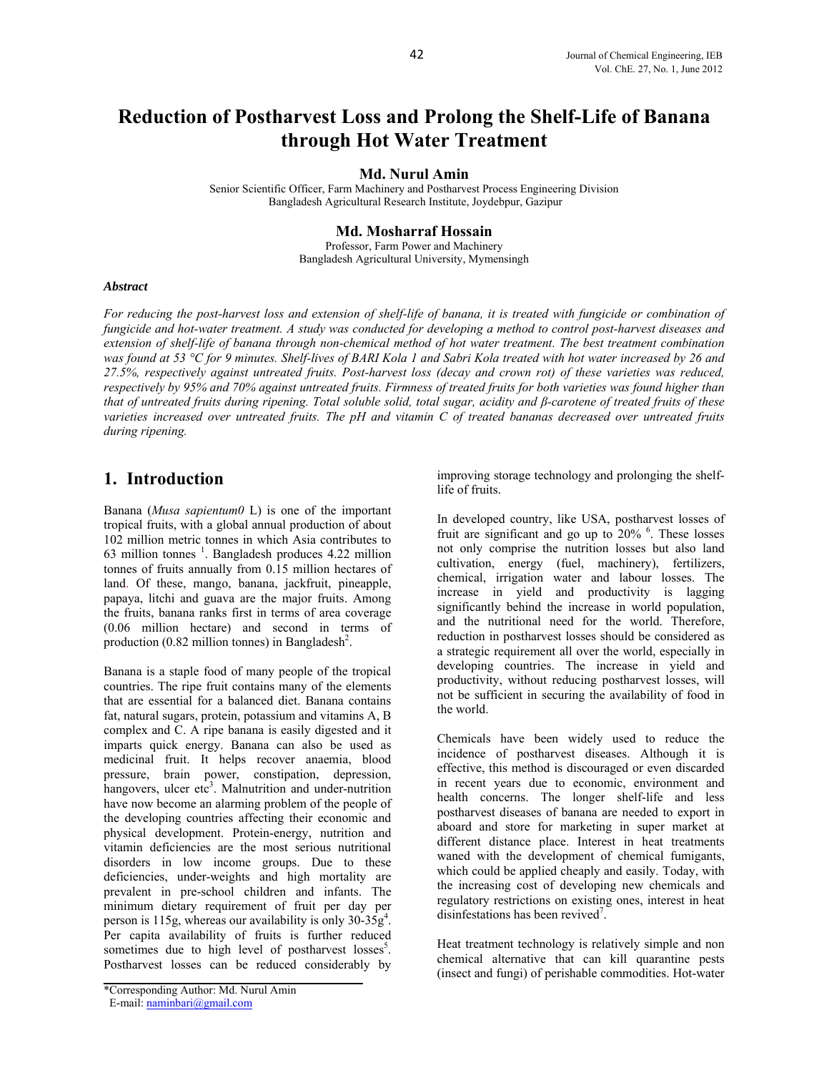# **Reduction of Postharvest Loss and Prolong the Shelf-Life of Banana through Hot Water Treatment**

#### **Md. Nurul Amin**

Senior Scientific Officer, Farm Machinery and Postharvest Process Engineering Division Bangladesh Agricultural Research Institute, Joydebpur, Gazipur

#### **Md. Mosharraf Hossain**

Professor, Farm Power and Machinery Bangladesh Agricultural University, Mymensingh

#### *Abstract*

*For reducing the post-harvest loss and extension of shelf-life of banana, it is treated with fungicide or combination of fungicide and hot-water treatment. A study was conducted for developing a method to control post-harvest diseases and extension of shelf-life of banana through non-chemical method of hot water treatment. The best treatment combination was found at 53 °C for 9 minutes. Shelf-lives of BARI Kola 1 and Sabri Kola treated with hot water increased by 26 and 27.5%, respectively against untreated fruits. Post-harvest loss (decay and crown rot) of these varieties was reduced, respectively by 95% and 70% against untreated fruits. Firmness of treated fruits for both varieties was found higher than that of untreated fruits during ripening. Total soluble solid, total sugar, acidity and β-carotene of treated fruits of these varieties increased over untreated fruits. The pH and vitamin C of treated bananas decreased over untreated fruits during ripening.* 

### **1. Introduction**

Banana (*Musa sapientum0* L) is one of the important tropical fruits, with a global annual production of about 102 million metric tonnes in which Asia contributes to 63 million tonnes  $<sup>1</sup>$ . Bangladesh produces 4.22 million</sup> tonnes of fruits annually from 0.15 million hectares of land. Of these, mango, banana, jackfruit, pineapple, papaya, litchi and guava are the major fruits. Among the fruits, banana ranks first in terms of area coverage (0.06 million hectare) and second in terms of production  $(0.82 \text{ million tonnes})$  in Bangladesh<sup>2</sup>.

Banana is a staple food of many people of the tropical countries. The ripe fruit contains many of the elements that are essential for a balanced diet. Banana contains fat, natural sugars, protein, potassium and vitamins A, B complex and C. A ripe banana is easily digested and it imparts quick energy. Banana can also be used as medicinal fruit. It helps recover anaemia, blood pressure, brain power, constipation, depression, hangovers, ulcer etc<sup>3</sup>. Malnutrition and under-nutrition have now become an alarming problem of the people of the developing countries affecting their economic and physical development. Protein-energy, nutrition and vitamin deficiencies are the most serious nutritional disorders in low income groups. Due to these deficiencies, under-weights and high mortality are prevalent in pre-school children and infants. The minimum dietary requirement of fruit per day per person is 115g, whereas our availability is only  $30-35g^4$ . Per capita availability of fruits is further reduced sometimes due to high level of postharvest losses<sup>5</sup>. Postharvest losses can be reduced considerably by improving storage technology and prolonging the shelflife of fruits.

In developed country, like USA, postharvest losses of fruit are significant and go up to  $20\%$ <sup>6</sup>. These losses not only comprise the nutrition losses but also land cultivation, energy (fuel, machinery), fertilizers, chemical, irrigation water and labour losses. The increase in yield and productivity is lagging significantly behind the increase in world population, and the nutritional need for the world. Therefore, reduction in postharvest losses should be considered as a strategic requirement all over the world, especially in developing countries. The increase in yield and productivity, without reducing postharvest losses, will not be sufficient in securing the availability of food in the world.

Chemicals have been widely used to reduce the incidence of postharvest diseases. Although it is effective, this method is discouraged or even discarded in recent years due to economic, environment and health concerns. The longer shelf-life and less postharvest diseases of banana are needed to export in aboard and store for marketing in super market at different distance place. Interest in heat treatments waned with the development of chemical fumigants, which could be applied cheaply and easily. Today, with the increasing cost of developing new chemicals and regulatory restrictions on existing ones, interest in heat disinfestations has been revived<sup>7</sup>.

Heat treatment technology is relatively simple and non chemical alternative that can kill quarantine pests (insect and fungi) of perishable commodities. Hot-water

<sup>\*</sup>Corresponding Author: Md. Nurul Amin

E-mail: naminbari@gmail.com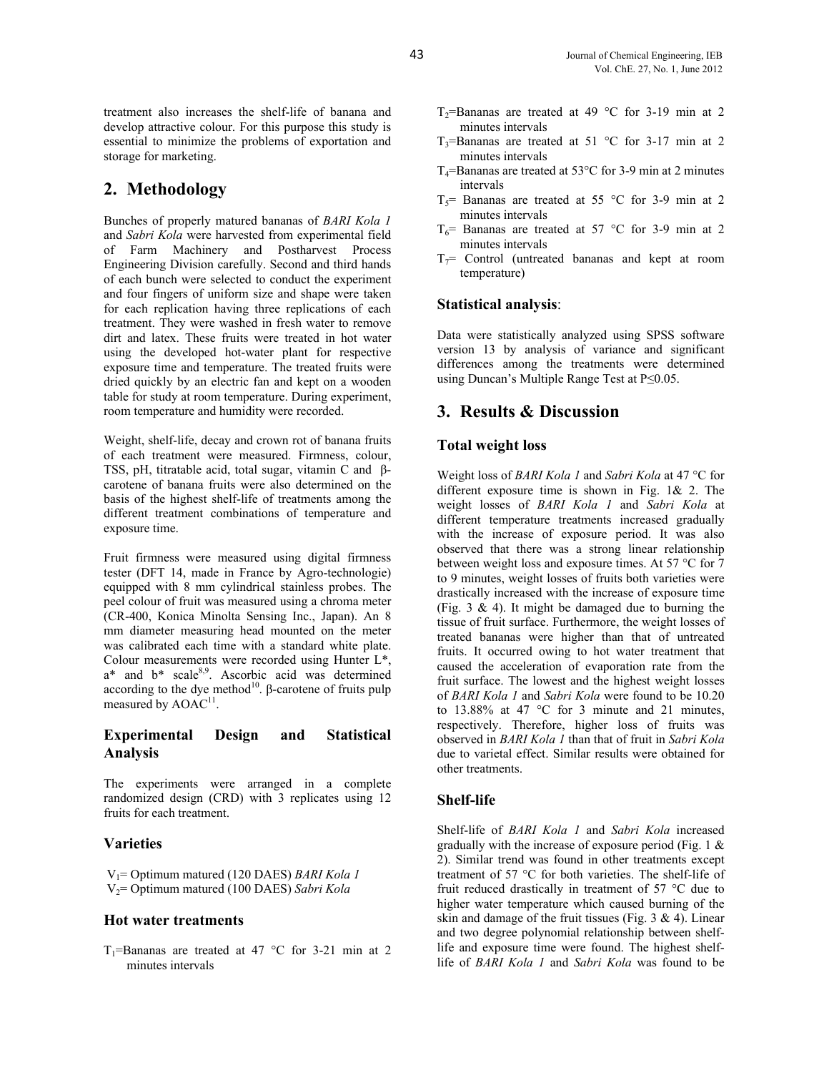treatment also increases the shelf-life of banana and develop attractive colour. For this purpose this study is essential to minimize the problems of exportation and storage for marketing.

## **2. Methodology**

Bunches of properly matured bananas of *BARI Kola 1* and *Sabri Kola* were harvested from experimental field of Farm Machinery and Postharvest Process Engineering Division carefully. Second and third hands of each bunch were selected to conduct the experiment and four fingers of uniform size and shape were taken for each replication having three replications of each treatment. They were washed in fresh water to remove dirt and latex. These fruits were treated in hot water using the developed hot-water plant for respective exposure time and temperature. The treated fruits were dried quickly by an electric fan and kept on a wooden table for study at room temperature. During experiment, room temperature and humidity were recorded.

Weight, shelf-life, decay and crown rot of banana fruits of each treatment were measured. Firmness, colour, TSS, pH, titratable acid, total sugar, vitamin C and βcarotene of banana fruits were also determined on the basis of the highest shelf-life of treatments among the different treatment combinations of temperature and exposure time.

Fruit firmness were measured using digital firmness tester (DFT 14, made in France by Agro-technologie) equipped with 8 mm cylindrical stainless probes. The peel colour of fruit was measured using a chroma meter (CR-400, Konica Minolta Sensing Inc., Japan). An 8 mm diameter measuring head mounted on the meter was calibrated each time with a standard white plate. Colour measurements were recorded using Hunter L\*, a\* and b\* scale<sup>8,9</sup>. Ascorbic acid was determined according to the dye method<sup>10</sup>. β-carotene of fruits pulp measured by  $AOAC<sup>11</sup>$ .

#### **Experimental Design and Statistical Analysis**

The experiments were arranged in a complete randomized design (CRD) with 3 replicates using 12 fruits for each treatment.

#### **Varieties**

 V1= Optimum matured (120 DAES) *BARI Kola 1* V2= Optimum matured (100 DAES) *Sabri Kola* 

#### **Hot water treatments**

T<sub>1</sub>=Bananas are treated at 47 °C for 3-21 min at 2 minutes intervals

- T<sub>2</sub>=Bananas are treated at 49 °C for 3-19 min at 2 minutes intervals
- T<sub>3</sub>=Bananas are treated at 51 °C for 3-17 min at 2 minutes intervals
- $T_4$ =Bananas are treated at 53 $\degree$ C for 3-9 min at 2 minutes intervals
- $T<sub>5</sub>=$  Bananas are treated at 55 °C for 3-9 min at 2 minutes intervals
- $T_6$ = Bananas are treated at 57 °C for 3-9 min at 2 minutes intervals
- $T_7$ = Control (untreated bananas and kept at room temperature)

#### **Statistical analysis**:

Data were statistically analyzed using SPSS software version 13 by analysis of variance and significant differences among the treatments were determined using Duncan's Multiple Range Test at P≤0.05.

### **3. Results & Discussion**

#### **Total weight loss**

Weight loss of *BARI Kola 1* and *Sabri Kola* at 47 °C for different exposure time is shown in Fig.  $1\& 2$ . The weight losses of *BARI Kola 1* and *Sabri Kola* at different temperature treatments increased gradually with the increase of exposure period. It was also observed that there was a strong linear relationship between weight loss and exposure times. At 57 °C for 7 to 9 minutes, weight losses of fruits both varieties were drastically increased with the increase of exposure time (Fig. 3  $\&$  4). It might be damaged due to burning the tissue of fruit surface. Furthermore, the weight losses of treated bananas were higher than that of untreated fruits. It occurred owing to hot water treatment that caused the acceleration of evaporation rate from the fruit surface. The lowest and the highest weight losses of *BARI Kola 1* and *Sabri Kola* were found to be 10.20 to 13.88% at 47 °C for 3 minute and 21 minutes, respectively. Therefore, higher loss of fruits was observed in *BARI Kola 1* than that of fruit in *Sabri Kola* due to varietal effect. Similar results were obtained for other treatments.

#### **Shelf-life**

Shelf-life of *BARI Kola 1* and *Sabri Kola* increased gradually with the increase of exposure period (Fig. 1 & 2). Similar trend was found in other treatments except treatment of 57 °C for both varieties. The shelf-life of fruit reduced drastically in treatment of 57 °C due to higher water temperature which caused burning of the skin and damage of the fruit tissues (Fig.  $3 \& 4$ ). Linear and two degree polynomial relationship between shelflife and exposure time were found. The highest shelflife of *BARI Kola 1* and *Sabri Kola* was found to be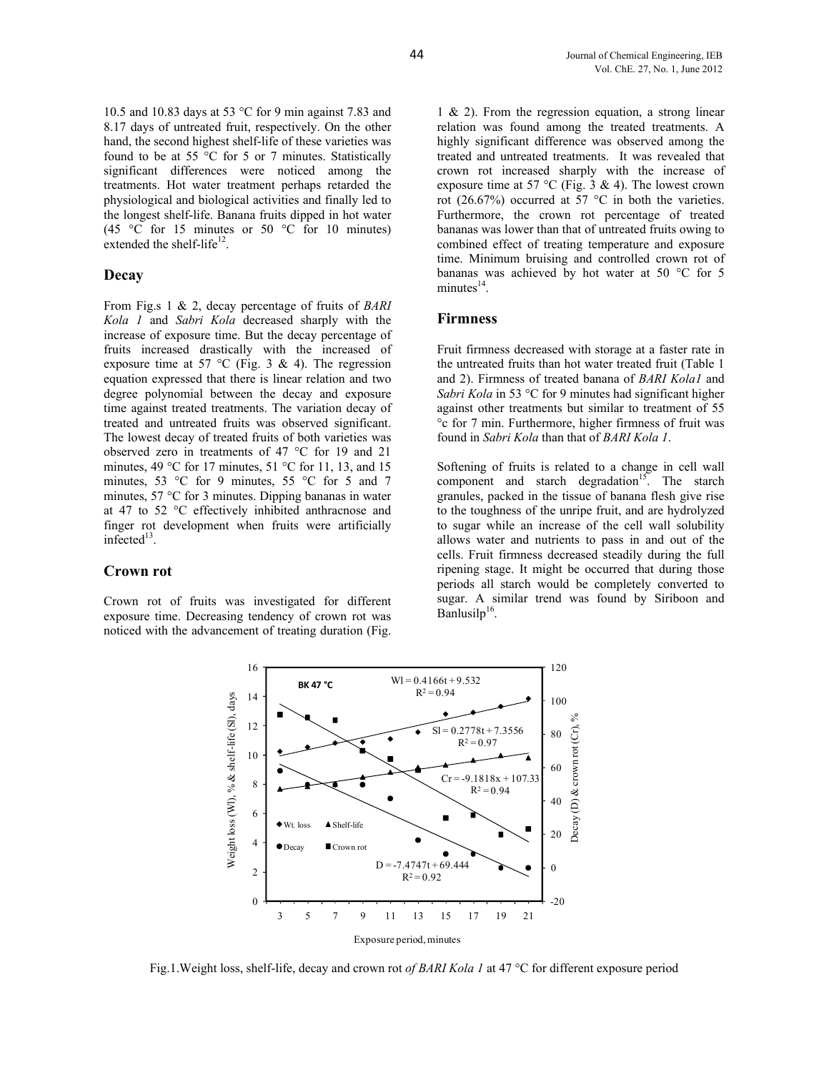10.5 and 10.83 days at 53 °C for 9 min against 7.83 and 8.17 days of untreated fruit, respectively. On the other hand, the second highest shelf-life of these varieties was found to be at 55  $\degree$ C for 5 or 7 minutes. Statistically significant differences were noticed among the treatments. Hot water treatment perhaps retarded the physiological and biological activities and finally led to the longest shelf-life. Banana fruits dipped in hot water (45 °C for 15 minutes or 50 °C for 10 minutes) extended the shelf-life $^{12}$ .

#### **Decay**

From Fig.s 1 & 2, decay percentage of fruits of *BARI Kola 1* and *Sabri Kola* decreased sharply with the increase of exposure time. But the decay percentage of fruits increased drastically with the increased of exposure time at 57 °C (Fig. 3 & 4). The regression equation expressed that there is linear relation and two degree polynomial between the decay and exposure time against treated treatments. The variation decay of treated and untreated fruits was observed significant. The lowest decay of treated fruits of both varieties was observed zero in treatments of 47 °C for 19 and 21 minutes, 49 °C for 17 minutes, 51 °C for 11, 13, and 15 minutes, 53 °C for 9 minutes, 55 °C for 5 and 7 minutes, 57 °C for 3 minutes. Dipping bananas in water at 47 to 52 °C effectively inhibited anthracnose and finger rot development when fruits were artificially infected $13$ .

#### **Crown rot**

Crown rot of fruits was investigated for different exposure time. Decreasing tendency of crown rot was noticed with the advancement of treating duration (Fig.

1 & 2). From the regression equation, a strong linear relation was found among the treated treatments. A highly significant difference was observed among the treated and untreated treatments. It was revealed that crown rot increased sharply with the increase of exposure time at 57 °C (Fig. 3 & 4). The lowest crown rot (26.67%) occurred at 57  $^{\circ}$ C in both the varieties. Furthermore, the crown rot percentage of treated bananas was lower than that of untreated fruits owing to combined effect of treating temperature and exposure time. Minimum bruising and controlled crown rot of bananas was achieved by hot water at 50 °C for 5  $minutes<sup>14</sup>$ .

#### **Firmness**

Fruit firmness decreased with storage at a faster rate in the untreated fruits than hot water treated fruit (Table 1 and 2). Firmness of treated banana of *BARI Kola1* and *Sabri Kola* in 53 °C for 9 minutes had significant higher against other treatments but similar to treatment of 55 °c for 7 min. Furthermore, higher firmness of fruit was found in *Sabri Kola* than that of *BARI Kola 1*.

Softening of fruits is related to a change in cell wall component and starch degradation<sup>15</sup>. The starch granules, packed in the tissue of banana flesh give rise to the toughness of the unripe fruit, and are hydrolyzed to sugar while an increase of the cell wall solubility allows water and nutrients to pass in and out of the cells. Fruit firmness decreased steadily during the full ripening stage. It might be occurred that during those periods all starch would be completely converted to sugar. A similar trend was found by Siriboon and Banlusil $p^{16}$ .



Fig.1.Weight loss, shelf-life, decay and crown rot *of BARI Kola 1* at 47 °C for different exposure period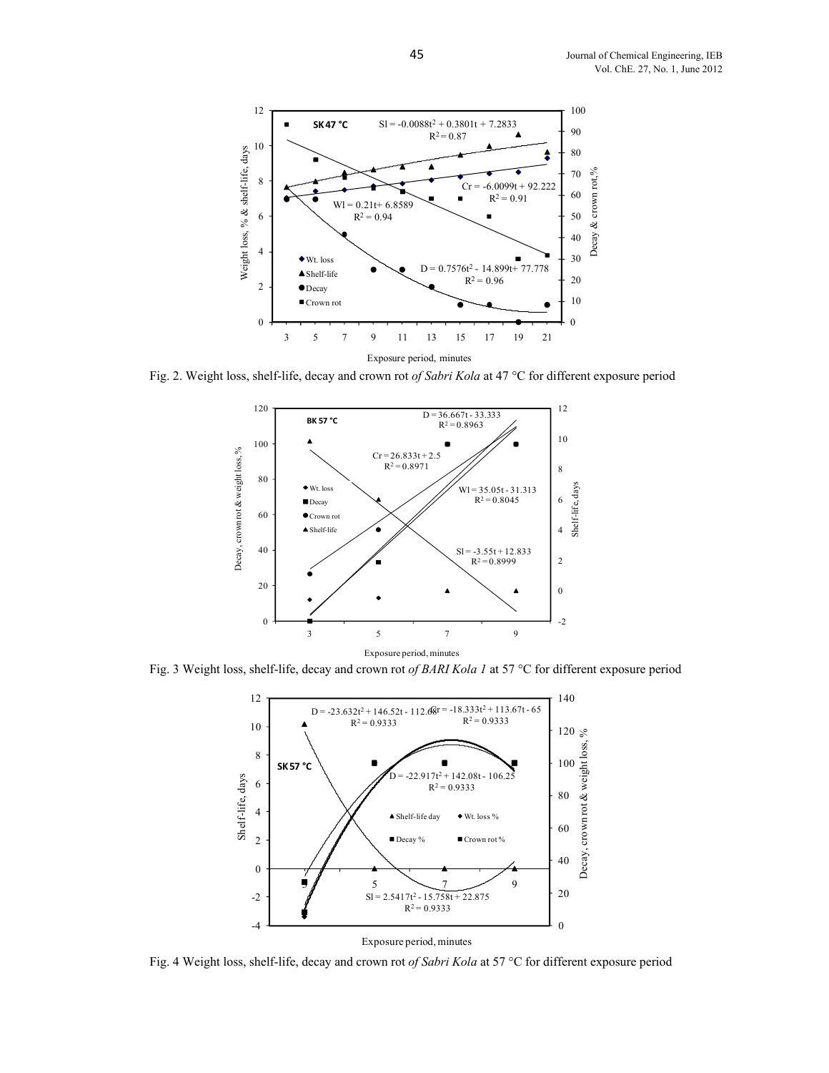

Fig. 2. Weight loss, shelf-life, decay and crown rot *of Sabri Kola* at 47 °C for different exposure period



Fig. 3 Weight loss, shelf-life, decay and crown rot *of BARI Kola 1* at 57 °C for different exposure period



Fig. 4 Weight loss, shelf-life, decay and crown rot *of Sabri Kola* at 57 °C for different exposure period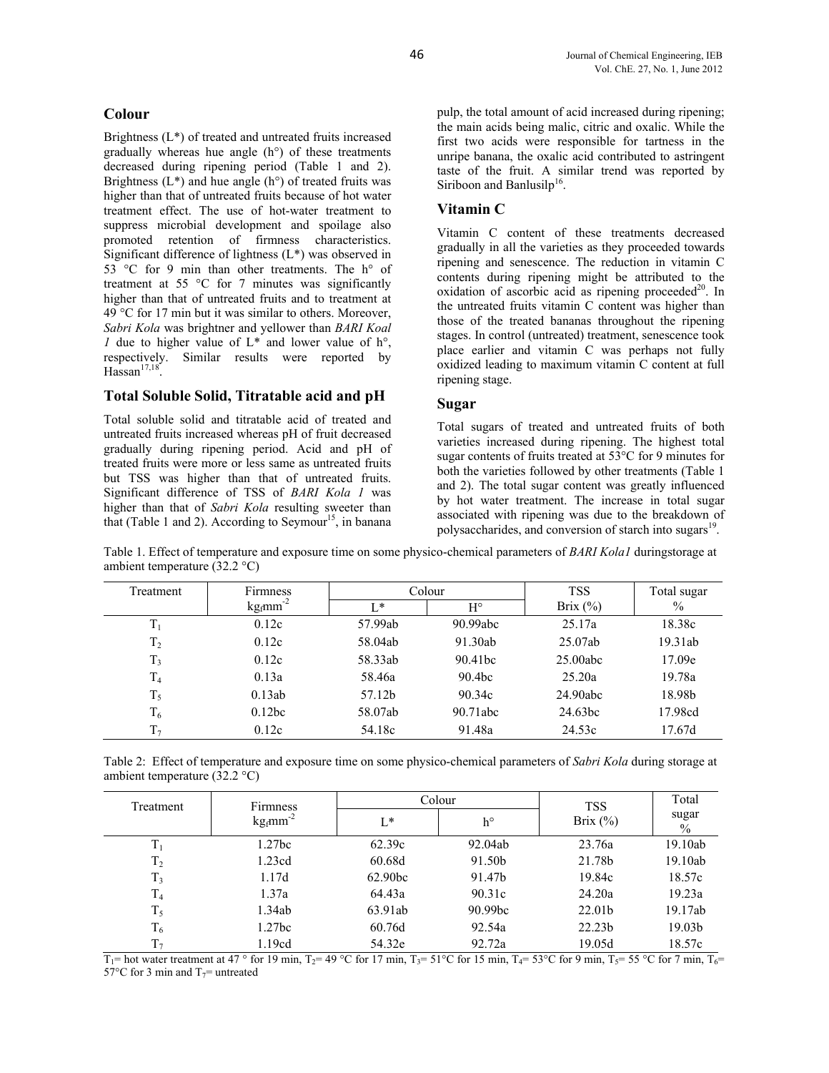#### **Colour**

Brightness (L\*) of treated and untreated fruits increased gradually whereas hue angle (h°) of these treatments decreased during ripening period (Table 1 and 2). Brightness  $(L^*)$  and hue angle  $(h^{\circ})$  of treated fruits was higher than that of untreated fruits because of hot water treatment effect. The use of hot-water treatment to suppress microbial development and spoilage also promoted retention of firmness characteristics. Significant difference of lightness (L\*) was observed in 53 °C for 9 min than other treatments. The h° of treatment at 55 °C for 7 minutes was significantly higher than that of untreated fruits and to treatment at 49 °C for 17 min but it was similar to others. Moreover, *Sabri Kola* was brightner and yellower than *BARI Koal 1* due to higher value of  $L^*$  and lower value of  $h^{\circ}$ , respectively. Similar results were reported by  $Hassan<sup>17,18</sup>$ 

#### **Total Soluble Solid, Titratable acid and pH**

Total soluble solid and titratable acid of treated and untreated fruits increased whereas pH of fruit decreased gradually during ripening period. Acid and pH of treated fruits were more or less same as untreated fruits but TSS was higher than that of untreated fruits. Significant difference of TSS of *BARI Kola 1* was higher than that of *Sabri Kola* resulting sweeter than that (Table 1 and 2). According to Seymour<sup>15</sup>, in banana

pulp, the total amount of acid increased during ripening; the main acids being malic, citric and oxalic. While the first two acids were responsible for tartness in the unripe banana, the oxalic acid contributed to astringent taste of the fruit. A similar trend was reported by Siriboon and Banlusilp<sup>16</sup>.

#### **Vitamin C**

Vitamin C content of these treatments decreased gradually in all the varieties as they proceeded towards ripening and senescence. The reduction in vitamin C contents during ripening might be attributed to the oxidation of ascorbic acid as ripening proceeded $20$ . In the untreated fruits vitamin C content was higher than those of the treated bananas throughout the ripening stages. In control (untreated) treatment, senescence took place earlier and vitamin C was perhaps not fully oxidized leading to maximum vitamin C content at full ripening stage.

#### **Sugar**

Total sugars of treated and untreated fruits of both varieties increased during ripening. The highest total sugar contents of fruits treated at 53°C for 9 minutes for both the varieties followed by other treatments (Table 1 and 2). The total sugar content was greatly influenced by hot water treatment. The increase in total sugar associated with ripening was due to the breakdown of polysaccharides, and conversion of starch into sugars<sup>19</sup>

Table 1. Effect of temperature and exposure time on some physico-chemical parameters of *BARI Kola1* duringstorage at ambient temperature (32.2 °C)

| Treatment      | Firmness                                | Colour  |                      | TSS         | Total sugar |
|----------------|-----------------------------------------|---------|----------------------|-------------|-------------|
|                | $\text{kg}_{\text{f}}$ mm <sup>-2</sup> | $L^*$   | $H^{\circ}$          | Brix $(\%)$ | $\%$        |
| $\rm T_1$      | 0.12c                                   | 57.99ab | 90.99a <sub>bc</sub> | 25.17a      | 18.38c      |
| T <sub>2</sub> | 0.12c                                   | 58.04ab | 91.30ab              | 25.07ab     | 19.31ab     |
| $T_3$          | 0.12c                                   | 58.33ab | 90.41 <sub>bc</sub>  | $25.00$ abc | 17.09e      |
| T <sub>4</sub> | 0.13a                                   | 58.46a  | 90.4bc               | 25.20a      | 19.78a      |
| $T_5$          | 0.13ab                                  | 57.12b  | 90.34c               | 24.90abc    | 18.98b      |
| $T_6$          | 0.12bc                                  | 58.07ab | 90.71abc             | 24.63bc     | 17.98cd     |
| $T_{7}$        | 0.12c                                   | 54.18c  | 91.48a               | 24.53c      | 17.67d      |

Table 2: Effect of temperature and exposure time on some physico-chemical parameters of *Sabri Kola* during storage at ambient temperature (32.2 °C)

| Treatment      | Firmness<br>$\text{kg}_{\text{f}}$ mm <sup>-2</sup> | Colour  |         | <b>TSS</b>         | Total              |
|----------------|-----------------------------------------------------|---------|---------|--------------------|--------------------|
|                |                                                     | $L^*$   | h°      | Brix $(\% )$       | sugar<br>$\%$      |
| $\rm T_1$      | 1.27bc                                              | 62.39c  | 92.04ab | 23.76a             | 19.10ab            |
| T <sub>2</sub> | 1.23cd                                              | 60.68d  | 91.50b  | 21.78b             | 19.10ab            |
| $T_3$          | 1.17d                                               | 62.90bc | 91.47b  | 19.84c             | 18.57c             |
| T <sub>4</sub> | 1.37a                                               | 64.43a  | 90.31c  | 24.20a             | 19.23a             |
| $T_5$          | 1.34ab                                              | 63.91ab | 90.99bc | 22.01b             | 19.17ab            |
| $T_6$          | 1.27bc                                              | 60.76d  | 92.54a  | 22.23 <sub>b</sub> | 19.03 <sub>b</sub> |
| $T_7$          | 1.19cd                                              | 54.32e  | 92.72a  | 19.05d             | 18.57c             |

 $T_1$ = hot water treatment at 47 ° for 19 min, T<sub>2</sub>= 49 °C for 17 min, T<sub>3</sub>= 51 °C for 15 min, T<sub>4</sub>= 53 °C for 9 min, T<sub>5</sub>= 55 °C for 7 min, T<sub>6</sub>= 57°C for 3 min and  $T_7$ = untreated